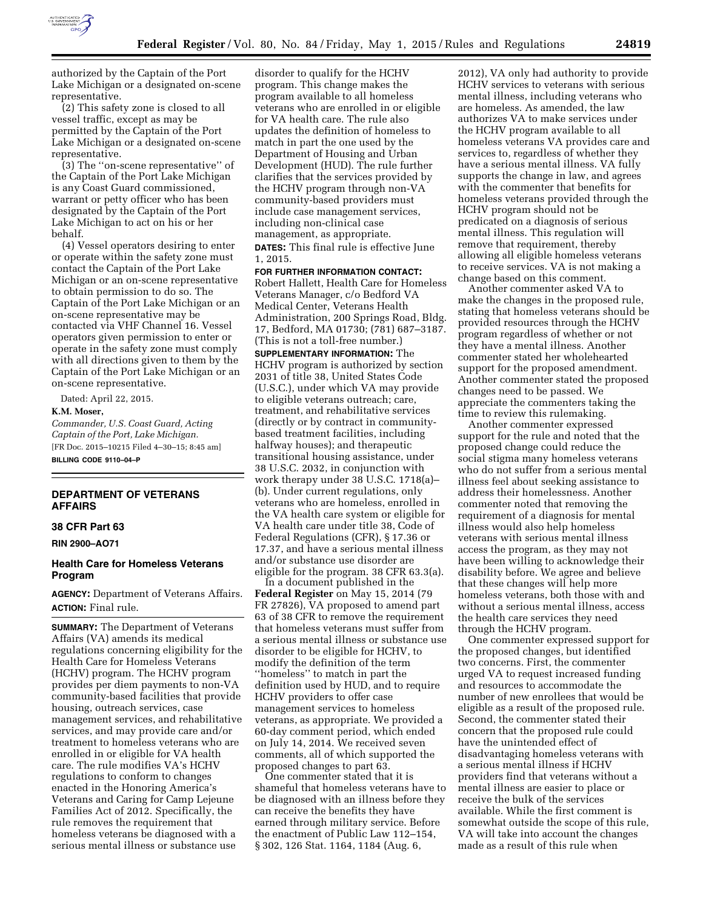

authorized by the Captain of the Port Lake Michigan or a designated on-scene representative.

(2) This safety zone is closed to all vessel traffic, except as may be permitted by the Captain of the Port Lake Michigan or a designated on-scene representative.

(3) The ''on-scene representative'' of the Captain of the Port Lake Michigan is any Coast Guard commissioned, warrant or petty officer who has been designated by the Captain of the Port Lake Michigan to act on his or her behalf.

(4) Vessel operators desiring to enter or operate within the safety zone must contact the Captain of the Port Lake Michigan or an on-scene representative to obtain permission to do so. The Captain of the Port Lake Michigan or an on-scene representative may be contacted via VHF Channel 16. Vessel operators given permission to enter or operate in the safety zone must comply with all directions given to them by the Captain of the Port Lake Michigan or an on-scene representative.

Dated: April 22, 2015.

## **K.M. Moser,**

*Commander, U.S. Coast Guard, Acting Captain of the Port, Lake Michigan.*  [FR Doc. 2015–10215 Filed 4–30–15; 8:45 am] **BILLING CODE 9110–04–P** 

# **DEPARTMENT OF VETERANS AFFAIRS**

### **38 CFR Part 63**

**RIN 2900–AO71** 

## **Health Care for Homeless Veterans Program**

**AGENCY:** Department of Veterans Affairs. **ACTION:** Final rule.

**SUMMARY:** The Department of Veterans Affairs (VA) amends its medical regulations concerning eligibility for the Health Care for Homeless Veterans (HCHV) program. The HCHV program provides per diem payments to non-VA community-based facilities that provide housing, outreach services, case management services, and rehabilitative services, and may provide care and/or treatment to homeless veterans who are enrolled in or eligible for VA health care. The rule modifies VA's HCHV regulations to conform to changes enacted in the Honoring America's Veterans and Caring for Camp Lejeune Families Act of 2012. Specifically, the rule removes the requirement that homeless veterans be diagnosed with a serious mental illness or substance use

disorder to qualify for the HCHV program. This change makes the program available to all homeless veterans who are enrolled in or eligible for VA health care. The rule also updates the definition of homeless to match in part the one used by the Department of Housing and Urban Development (HUD). The rule further clarifies that the services provided by the HCHV program through non-VA community-based providers must include case management services, including non-clinical case management, as appropriate. **DATES:** This final rule is effective June 1, 2015.

**FOR FURTHER INFORMATION CONTACT:**  Robert Hallett, Health Care for Homeless Veterans Manager, c/o Bedford VA Medical Center, Veterans Health Administration, 200 Springs Road, Bldg. 17, Bedford, MA 01730; (781) 687–3187. (This is not a toll-free number.)

**SUPPLEMENTARY INFORMATION:** The HCHV program is authorized by section 2031 of title 38, United States Code (U.S.C.), under which VA may provide to eligible veterans outreach; care, treatment, and rehabilitative services (directly or by contract in communitybased treatment facilities, including halfway houses); and therapeutic transitional housing assistance, under 38 U.S.C. 2032, in conjunction with work therapy under 38 U.S.C. 1718(a)– (b). Under current regulations, only veterans who are homeless, enrolled in the VA health care system or eligible for VA health care under title 38, Code of Federal Regulations (CFR), § 17.36 or 17.37, and have a serious mental illness and/or substance use disorder are eligible for the program. 38 CFR 63.3(a).

In a document published in the **Federal Register** on May 15, 2014 (79 FR 27826), VA proposed to amend part 63 of 38 CFR to remove the requirement that homeless veterans must suffer from a serious mental illness or substance use disorder to be eligible for HCHV, to modify the definition of the term ''homeless'' to match in part the definition used by HUD, and to require HCHV providers to offer case management services to homeless veterans, as appropriate. We provided a 60-day comment period, which ended on July 14, 2014. We received seven comments, all of which supported the proposed changes to part 63.

One commenter stated that it is shameful that homeless veterans have to be diagnosed with an illness before they can receive the benefits they have earned through military service. Before the enactment of Public Law 112–154, § 302, 126 Stat. 1164, 1184 (Aug. 6,

2012), VA only had authority to provide HCHV services to veterans with serious mental illness, including veterans who are homeless. As amended, the law authorizes VA to make services under the HCHV program available to all homeless veterans VA provides care and services to, regardless of whether they have a serious mental illness. VA fully supports the change in law, and agrees with the commenter that benefits for homeless veterans provided through the HCHV program should not be predicated on a diagnosis of serious mental illness. This regulation will remove that requirement, thereby allowing all eligible homeless veterans to receive services. VA is not making a change based on this comment.

Another commenter asked VA to make the changes in the proposed rule, stating that homeless veterans should be provided resources through the HCHV program regardless of whether or not they have a mental illness. Another commenter stated her wholehearted support for the proposed amendment. Another commenter stated the proposed changes need to be passed. We appreciate the commenters taking the time to review this rulemaking.

Another commenter expressed support for the rule and noted that the proposed change could reduce the social stigma many homeless veterans who do not suffer from a serious mental illness feel about seeking assistance to address their homelessness. Another commenter noted that removing the requirement of a diagnosis for mental illness would also help homeless veterans with serious mental illness access the program, as they may not have been willing to acknowledge their disability before. We agree and believe that these changes will help more homeless veterans, both those with and without a serious mental illness, access the health care services they need through the HCHV program.

One commenter expressed support for the proposed changes, but identified two concerns. First, the commenter urged VA to request increased funding and resources to accommodate the number of new enrollees that would be eligible as a result of the proposed rule. Second, the commenter stated their concern that the proposed rule could have the unintended effect of disadvantaging homeless veterans with a serious mental illness if HCHV providers find that veterans without a mental illness are easier to place or receive the bulk of the services available. While the first comment is somewhat outside the scope of this rule, VA will take into account the changes made as a result of this rule when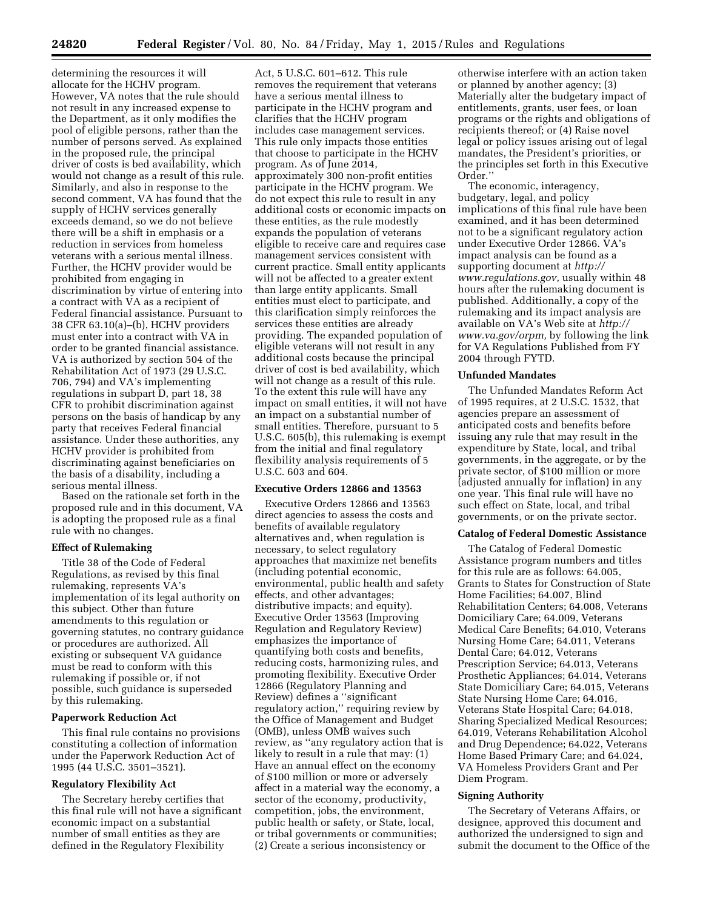determining the resources it will allocate for the HCHV program. However, VA notes that the rule should not result in any increased expense to the Department, as it only modifies the pool of eligible persons, rather than the number of persons served. As explained in the proposed rule, the principal driver of costs is bed availability, which would not change as a result of this rule. Similarly, and also in response to the second comment, VA has found that the supply of HCHV services generally exceeds demand, so we do not believe there will be a shift in emphasis or a reduction in services from homeless veterans with a serious mental illness. Further, the HCHV provider would be prohibited from engaging in discrimination by virtue of entering into a contract with VA as a recipient of Federal financial assistance. Pursuant to 38 CFR 63.10(a)–(b), HCHV providers must enter into a contract with VA in order to be granted financial assistance. VA is authorized by section 504 of the Rehabilitation Act of 1973 (29 U.S.C. 706, 794) and VA's implementing regulations in subpart D, part 18, 38 CFR to prohibit discrimination against persons on the basis of handicap by any party that receives Federal financial assistance. Under these authorities, any HCHV provider is prohibited from discriminating against beneficiaries on the basis of a disability, including a serious mental illness.

Based on the rationale set forth in the proposed rule and in this document, VA is adopting the proposed rule as a final rule with no changes.

## **Effect of Rulemaking**

Title 38 of the Code of Federal Regulations, as revised by this final rulemaking, represents VA's implementation of its legal authority on this subject. Other than future amendments to this regulation or governing statutes, no contrary guidance or procedures are authorized. All existing or subsequent VA guidance must be read to conform with this rulemaking if possible or, if not possible, such guidance is superseded by this rulemaking.

# **Paperwork Reduction Act**

This final rule contains no provisions constituting a collection of information under the Paperwork Reduction Act of 1995 (44 U.S.C. 3501–3521).

### **Regulatory Flexibility Act**

The Secretary hereby certifies that this final rule will not have a significant economic impact on a substantial number of small entities as they are defined in the Regulatory Flexibility

Act, 5 U.S.C. 601–612. This rule removes the requirement that veterans have a serious mental illness to participate in the HCHV program and clarifies that the HCHV program includes case management services. This rule only impacts those entities that choose to participate in the HCHV program. As of June 2014, approximately 300 non-profit entities participate in the HCHV program. We do not expect this rule to result in any additional costs or economic impacts on these entities, as the rule modestly expands the population of veterans eligible to receive care and requires case management services consistent with current practice. Small entity applicants will not be affected to a greater extent than large entity applicants. Small entities must elect to participate, and this clarification simply reinforces the services these entities are already providing. The expanded population of eligible veterans will not result in any additional costs because the principal driver of cost is bed availability, which will not change as a result of this rule. To the extent this rule will have any impact on small entities, it will not have an impact on a substantial number of small entities. Therefore, pursuant to 5 U.S.C. 605(b), this rulemaking is exempt from the initial and final regulatory flexibility analysis requirements of 5 U.S.C. 603 and 604.

### **Executive Orders 12866 and 13563**

Executive Orders 12866 and 13563 direct agencies to assess the costs and benefits of available regulatory alternatives and, when regulation is necessary, to select regulatory approaches that maximize net benefits (including potential economic, environmental, public health and safety effects, and other advantages; distributive impacts; and equity). Executive Order 13563 (Improving Regulation and Regulatory Review) emphasizes the importance of quantifying both costs and benefits, reducing costs, harmonizing rules, and promoting flexibility. Executive Order 12866 (Regulatory Planning and Review) defines a ''significant regulatory action,'' requiring review by the Office of Management and Budget (OMB), unless OMB waives such review, as ''any regulatory action that is likely to result in a rule that may: (1) Have an annual effect on the economy of \$100 million or more or adversely affect in a material way the economy, a sector of the economy, productivity, competition, jobs, the environment, public health or safety, or State, local, or tribal governments or communities; (2) Create a serious inconsistency or

otherwise interfere with an action taken or planned by another agency; (3) Materially alter the budgetary impact of entitlements, grants, user fees, or loan programs or the rights and obligations of recipients thereof; or (4) Raise novel legal or policy issues arising out of legal mandates, the President's priorities, or the principles set forth in this Executive Order.''

The economic, interagency, budgetary, legal, and policy implications of this final rule have been examined, and it has been determined not to be a significant regulatory action under Executive Order 12866. VA's impact analysis can be found as a supporting document at *[http://](http://www.regulations.gov) [www.regulations.gov,](http://www.regulations.gov)* usually within 48 hours after the rulemaking document is published. Additionally, a copy of the rulemaking and its impact analysis are available on VA's Web site at *[http://](http://www.va.gov/orpm) [www.va.gov/orpm,](http://www.va.gov/orpm)* by following the link for VA Regulations Published from FY 2004 through FYTD.

## **Unfunded Mandates**

The Unfunded Mandates Reform Act of 1995 requires, at 2 U.S.C. 1532, that agencies prepare an assessment of anticipated costs and benefits before issuing any rule that may result in the expenditure by State, local, and tribal governments, in the aggregate, or by the private sector, of \$100 million or more (adjusted annually for inflation) in any one year. This final rule will have no such effect on State, local, and tribal governments, or on the private sector.

### **Catalog of Federal Domestic Assistance**

The Catalog of Federal Domestic Assistance program numbers and titles for this rule are as follows: 64.005, Grants to States for Construction of State Home Facilities; 64.007, Blind Rehabilitation Centers; 64.008, Veterans Domiciliary Care; 64.009, Veterans Medical Care Benefits; 64.010, Veterans Nursing Home Care; 64.011, Veterans Dental Care; 64.012, Veterans Prescription Service; 64.013, Veterans Prosthetic Appliances; 64.014, Veterans State Domiciliary Care; 64.015, Veterans State Nursing Home Care; 64.016, Veterans State Hospital Care; 64.018, Sharing Specialized Medical Resources; 64.019, Veterans Rehabilitation Alcohol and Drug Dependence; 64.022, Veterans Home Based Primary Care; and 64.024, VA Homeless Providers Grant and Per Diem Program.

### **Signing Authority**

The Secretary of Veterans Affairs, or designee, approved this document and authorized the undersigned to sign and submit the document to the Office of the